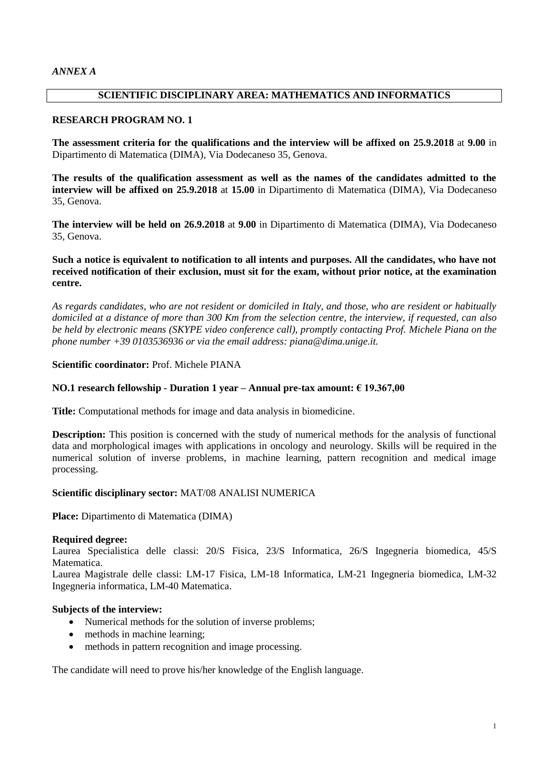# **SCIENTIFIC DISCIPLINARY AREA: MATHEMATICS AND INFORMATICS**

## **RESEARCH PROGRAM NO. 1**

**The assessment criteria for the qualifications and the interview will be affixed on 25.9.2018** at **9.00** in Dipartimento di Matematica (DIMA), Via Dodecaneso 35, Genova.

**The results of the qualification assessment as well as the names of the candidates admitted to the interview will be affixed on 25.9.2018** at **15.00** in Dipartimento di Matematica (DIMA), Via Dodecaneso 35, Genova.

**The interview will be held on 26.9.2018** at **9.00** in Dipartimento di Matematica (DIMA), Via Dodecaneso 35, Genova.

# **Such a notice is equivalent to notification to all intents and purposes. All the candidates, who have not received notification of their exclusion, must sit for the exam, without prior notice, at the examination centre.**

*As regards candidates, who are not resident or domiciled in Italy, and those, who are resident or habitually domiciled at a distance of more than 300 Km from the selection centre, the interview, if requested, can also be held by electronic means (SKYPE video conference call), promptly contacting Prof. Michele Piana on the phone number +39 0103536936 or via the email address: piana@dima.unige.it.*

## **Scientific coordinator:** Prof. Michele PIANA

# **NO.1 research fellowship - Duration 1 year – Annual pre-tax amount: € 19.367,00**

**Title:** Computational methods for image and data analysis in biomedicine.

**Description:** This position is concerned with the study of numerical methods for the analysis of functional data and morphological images with applications in oncology and neurology. Skills will be required in the numerical solution of inverse problems, in machine learning, pattern recognition and medical image processing.

## **Scientific disciplinary sector:** MAT/08 ANALISI NUMERICA

**Place:** Dipartimento di Matematica (DIMA)

## **Required degree:**

Laurea Specialistica delle classi: 20/S Fisica, 23/S Informatica, 26/S Ingegneria biomedica, 45/S **Matematica** 

Laurea Magistrale delle classi: LM-17 Fisica, LM-18 Informatica, LM-21 Ingegneria biomedica, LM-32 Ingegneria informatica, LM-40 Matematica.

# **Subjects of the interview:**

- Numerical methods for the solution of inverse problems;
- methods in machine learning;
- methods in pattern recognition and image processing.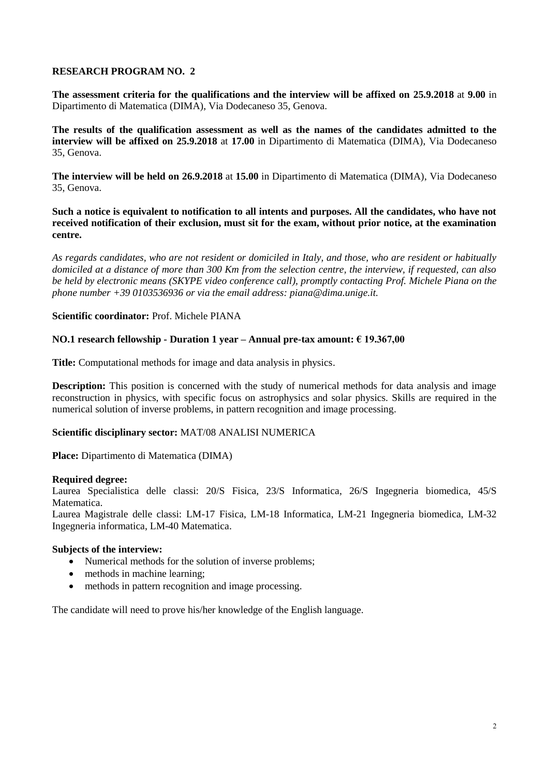**The assessment criteria for the qualifications and the interview will be affixed on 25.9.2018** at **9.00** in Dipartimento di Matematica (DIMA), Via Dodecaneso 35, Genova.

**The results of the qualification assessment as well as the names of the candidates admitted to the interview will be affixed on 25.9.2018** at **17.00** in Dipartimento di Matematica (DIMA), Via Dodecaneso 35, Genova.

**The interview will be held on 26.9.2018** at **15.00** in Dipartimento di Matematica (DIMA), Via Dodecaneso 35, Genova.

**Such a notice is equivalent to notification to all intents and purposes. All the candidates, who have not received notification of their exclusion, must sit for the exam, without prior notice, at the examination centre.**

*As regards candidates, who are not resident or domiciled in Italy, and those, who are resident or habitually domiciled at a distance of more than 300 Km from the selection centre, the interview, if requested, can also be held by electronic means (SKYPE video conference call), promptly contacting Prof. Michele Piana on the phone number +39 0103536936 or via the email address: piana@dima.unige.it.*

## **Scientific coordinator:** Prof. Michele PIANA

## **NO.1 research fellowship - Duration 1 year – Annual pre-tax amount: € 19.367,00**

**Title:** Computational methods for image and data analysis in physics.

**Description:** This position is concerned with the study of numerical methods for data analysis and image reconstruction in physics, with specific focus on astrophysics and solar physics. Skills are required in the numerical solution of inverse problems, in pattern recognition and image processing.

## **Scientific disciplinary sector:** MAT/08 ANALISI NUMERICA

**Place:** Dipartimento di Matematica (DIMA)

## **Required degree:**

Laurea Specialistica delle classi: 20/S Fisica, 23/S Informatica, 26/S Ingegneria biomedica, 45/S **Matematica** 

Laurea Magistrale delle classi: LM-17 Fisica, LM-18 Informatica, LM-21 Ingegneria biomedica, LM-32 Ingegneria informatica, LM-40 Matematica.

## **Subjects of the interview:**

- Numerical methods for the solution of inverse problems;
- methods in machine learning;
- methods in pattern recognition and image processing.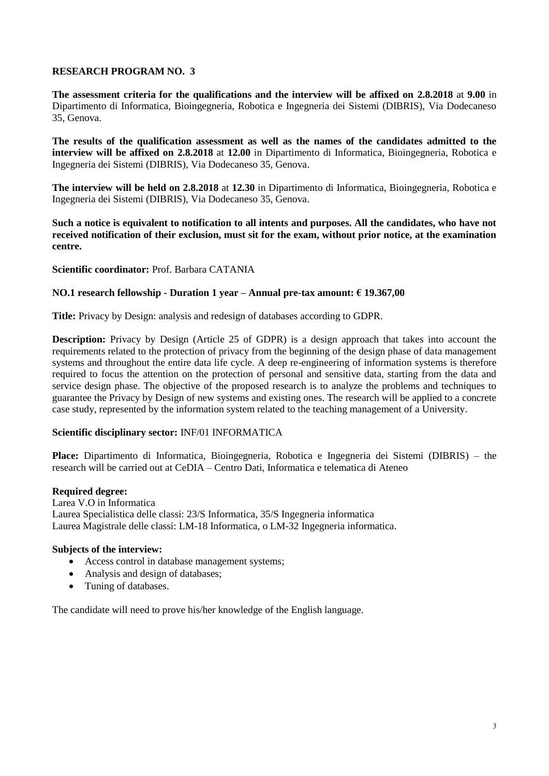**The assessment criteria for the qualifications and the interview will be affixed on 2.8.2018** at **9.00** in Dipartimento di Informatica, Bioingegneria, Robotica e Ingegneria dei Sistemi (DIBRIS), Via Dodecaneso 35, Genova.

**The results of the qualification assessment as well as the names of the candidates admitted to the interview will be affixed on 2.8.2018** at **12.00** in Dipartimento di Informatica, Bioingegneria, Robotica e Ingegneria dei Sistemi (DIBRIS), Via Dodecaneso 35, Genova.

**The interview will be held on 2.8.2018** at **12.30** in Dipartimento di Informatica, Bioingegneria, Robotica e Ingegneria dei Sistemi (DIBRIS), Via Dodecaneso 35, Genova.

**Such a notice is equivalent to notification to all intents and purposes. All the candidates, who have not received notification of their exclusion, must sit for the exam, without prior notice, at the examination centre.**

## **Scientific coordinator:** Prof. Barbara CATANIA

## **NO.1 research fellowship - Duration 1 year – Annual pre-tax amount: € 19.367,00**

**Title:** Privacy by Design: analysis and redesign of databases according to GDPR.

**Description:** Privacy by Design (Article 25 of GDPR) is a design approach that takes into account the requirements related to the protection of privacy from the beginning of the design phase of data management systems and throughout the entire data life cycle. A deep re-engineering of information systems is therefore required to focus the attention on the protection of personal and sensitive data, starting from the data and service design phase. The objective of the proposed research is to analyze the problems and techniques to guarantee the Privacy by Design of new systems and existing ones. The research will be applied to a concrete case study, represented by the information system related to the teaching management of a University.

## **Scientific disciplinary sector:** INF/01 INFORMATICA

**Place:** Dipartimento di Informatica, Bioingegneria, Robotica e Ingegneria dei Sistemi (DIBRIS) – the research will be carried out at CeDIA – Centro Dati, Informatica e telematica di Ateneo

### **Required degree:**

Larea V.O in Informatica Laurea Specialistica delle classi: 23/S Informatica, 35/S Ingegneria informatica Laurea Magistrale delle classi: LM-18 Informatica, o LM-32 Ingegneria informatica.

## **Subjects of the interview:**

- Access control in database management systems;
- Analysis and design of databases;
- Tuning of databases.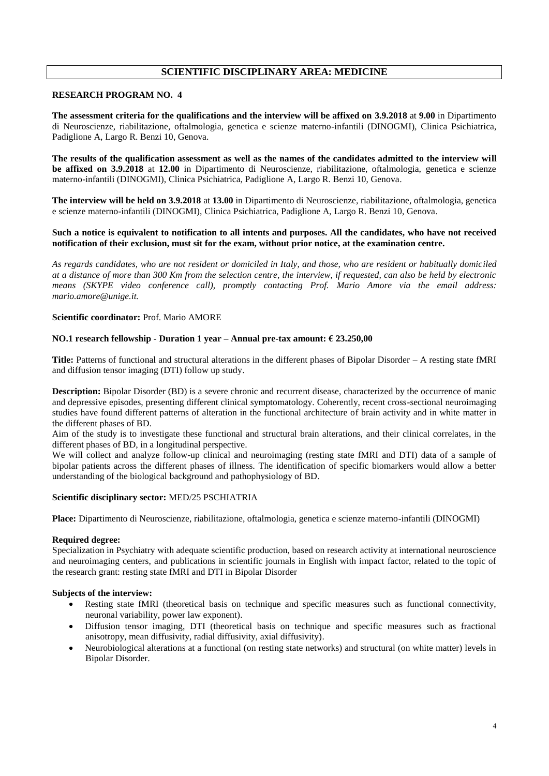# **SCIENTIFIC DISCIPLINARY AREA: MEDICINE**

### **RESEARCH PROGRAM NO. 4**

**The assessment criteria for the qualifications and the interview will be affixed on 3.9.2018** at **9.00** in Dipartimento di Neuroscienze, riabilitazione, oftalmologia, genetica e scienze materno-infantili (DINOGMI), Clinica Psichiatrica, Padiglione A, Largo R. Benzi 10, Genova.

**The results of the qualification assessment as well as the names of the candidates admitted to the interview will be affixed on 3.9.2018** at **12.00** in Dipartimento di Neuroscienze, riabilitazione, oftalmologia, genetica e scienze materno-infantili (DINOGMI), Clinica Psichiatrica, Padiglione A, Largo R. Benzi 10, Genova.

**The interview will be held on 3.9.2018** at **13.00** in Dipartimento di Neuroscienze, riabilitazione, oftalmologia, genetica e scienze materno-infantili (DINOGMI), Clinica Psichiatrica, Padiglione A, Largo R. Benzi 10, Genova.

#### **Such a notice is equivalent to notification to all intents and purposes. All the candidates, who have not received notification of their exclusion, must sit for the exam, without prior notice, at the examination centre.**

*As regards candidates, who are not resident or domiciled in Italy, and those, who are resident or habitually domiciled at a distance of more than 300 Km from the selection centre, the interview, if requested, can also be held by electronic means (SKYPE video conference call), promptly contacting Prof. Mario Amore via the email address: mario.amore@unige.it.*

#### **Scientific coordinator:** Prof. Mario AMORE

#### **NO.1 research fellowship - Duration 1 year – Annual pre-tax amount: € 23.250,00**

**Title:** Patterns of functional and structural alterations in the different phases of Bipolar Disorder – A resting state fMRI and diffusion tensor imaging (DTI) follow up study.

**Description:** Bipolar Disorder (BD) is a severe chronic and recurrent disease, characterized by the occurrence of manic and depressive episodes, presenting different clinical symptomatology. Coherently, recent cross-sectional neuroimaging studies have found different patterns of alteration in the functional architecture of brain activity and in white matter in the different phases of BD.

Aim of the study is to investigate these functional and structural brain alterations, and their clinical correlates, in the different phases of BD, in a longitudinal perspective.

We will collect and analyze follow-up clinical and neuroimaging (resting state fMRI and DTI) data of a sample of bipolar patients across the different phases of illness. The identification of specific biomarkers would allow a better understanding of the biological background and pathophysiology of BD.

#### **Scientific disciplinary sector:** MED/25 PSCHIATRIA

**Place:** Dipartimento di Neuroscienze, riabilitazione, oftalmologia, genetica e scienze materno-infantili (DINOGMI)

### **Required degree:**

Specialization in Psychiatry with adequate scientific production, based on research activity at international neuroscience and neuroimaging centers, and publications in scientific journals in English with impact factor, related to the topic of the research grant: resting state fMRI and DTI in Bipolar Disorder

- Resting state fMRI (theoretical basis on technique and specific measures such as functional connectivity, neuronal variability, power law exponent).
- Diffusion tensor imaging, DTI (theoretical basis on technique and specific measures such as fractional anisotropy, mean diffusivity, radial diffusivity, axial diffusivity).
- Neurobiological alterations at a functional (on resting state networks) and structural (on white matter) levels in Bipolar Disorder.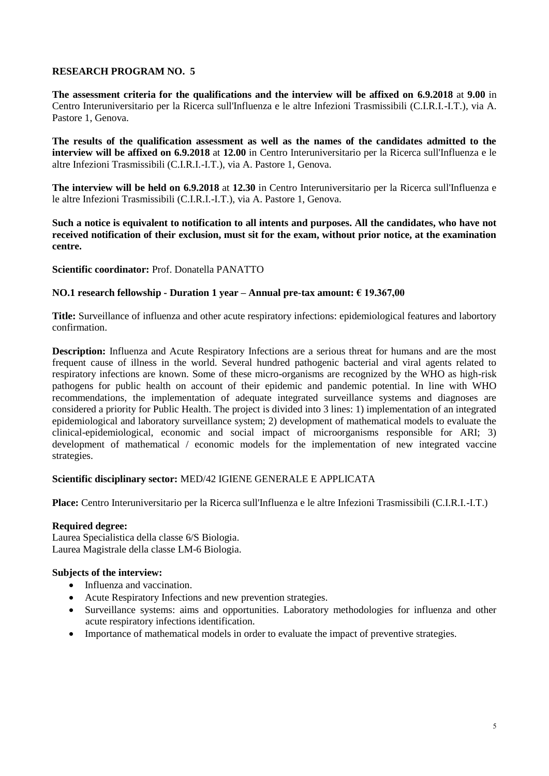**The assessment criteria for the qualifications and the interview will be affixed on 6.9.2018** at **9.00** in Centro Interuniversitario per la Ricerca sull'Influenza e le altre Infezioni Trasmissibili (C.I.R.I.-I.T.), via A. Pastore 1, Genova.

**The results of the qualification assessment as well as the names of the candidates admitted to the interview will be affixed on 6.9.2018** at **12.00** in Centro Interuniversitario per la Ricerca sull'Influenza e le altre Infezioni Trasmissibili (C.I.R.I.-I.T.), via A. Pastore 1, Genova.

**The interview will be held on 6.9.2018** at **12.30** in Centro Interuniversitario per la Ricerca sull'Influenza e le altre Infezioni Trasmissibili (C.I.R.I.-I.T.), via A. Pastore 1, Genova.

**Such a notice is equivalent to notification to all intents and purposes. All the candidates, who have not received notification of their exclusion, must sit for the exam, without prior notice, at the examination centre.**

**Scientific coordinator:** Prof. Donatella PANATTO

## **NO.1 research fellowship - Duration 1 year – Annual pre-tax amount: € 19.367,00**

**Title:** Surveillance of influenza and other acute respiratory infections: epidemiological features and labortory confirmation.

**Description:** Influenza and Acute Respiratory Infections are a serious threat for humans and are the most frequent cause of illness in the world. Several hundred pathogenic bacterial and viral agents related to respiratory infections are known. Some of these micro-organisms are recognized by the WHO as high-risk pathogens for public health on account of their epidemic and pandemic potential. In line with WHO recommendations, the implementation of adequate integrated surveillance systems and diagnoses are considered a priority for Public Health. The project is divided into 3 lines: 1) implementation of an integrated epidemiological and laboratory surveillance system; 2) development of mathematical models to evaluate the clinical-epidemiological, economic and social impact of microorganisms responsible for ARI; 3) development of mathematical / economic models for the implementation of new integrated vaccine strategies.

## **Scientific disciplinary sector:** MED/42 IGIENE GENERALE E APPLICATA

**Place:** Centro Interuniversitario per la Ricerca sull'Influenza e le altre Infezioni Trasmissibili (C.I.R.I.-I.T.)

## **Required degree:**

Laurea Specialistica della classe 6/S Biologia. Laurea Magistrale della classe LM-6 Biologia.

- Influenza and vaccination.
- Acute Respiratory Infections and new prevention strategies.
- Surveillance systems: aims and opportunities. Laboratory methodologies for influenza and other acute respiratory infections identification.
- Importance of mathematical models in order to evaluate the impact of preventive strategies.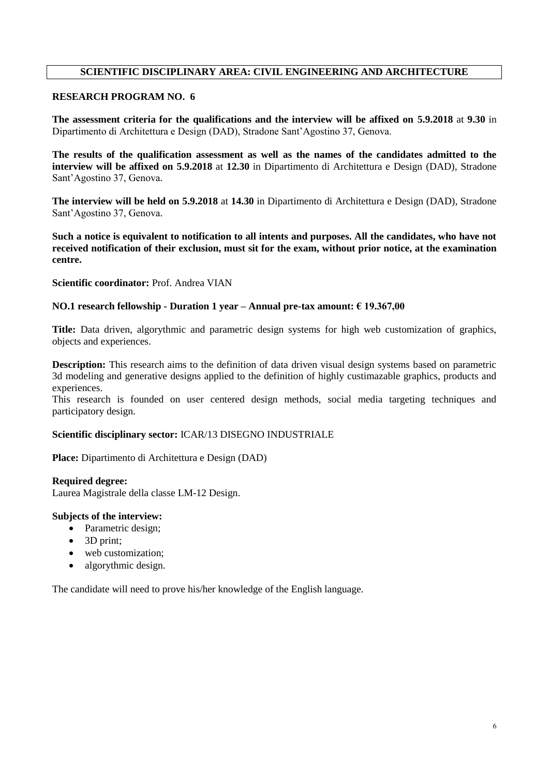# **SCIENTIFIC DISCIPLINARY AREA: CIVIL ENGINEERING AND ARCHITECTURE**

# **RESEARCH PROGRAM NO. 6**

**The assessment criteria for the qualifications and the interview will be affixed on 5.9.2018** at **9.30** in Dipartimento di Architettura e Design (DAD), Stradone Sant'Agostino 37, Genova.

**The results of the qualification assessment as well as the names of the candidates admitted to the interview will be affixed on 5.9.2018** at **12.30** in Dipartimento di Architettura e Design (DAD), Stradone Sant'Agostino 37, Genova.

**The interview will be held on 5.9.2018** at **14.30** in Dipartimento di Architettura e Design (DAD), Stradone Sant'Agostino 37, Genova.

**Such a notice is equivalent to notification to all intents and purposes. All the candidates, who have not received notification of their exclusion, must sit for the exam, without prior notice, at the examination centre.**

## **Scientific coordinator:** Prof. Andrea VIAN

## **NO.1 research fellowship - Duration 1 year – Annual pre-tax amount: € 19.367,00**

**Title:** Data driven, algorythmic and parametric design systems for high web customization of graphics, objects and experiences.

**Description:** This research aims to the definition of data driven visual design systems based on parametric 3d modeling and generative designs applied to the definition of highly custimazable graphics, products and experiences.

This research is founded on user centered design methods, social media targeting techniques and participatory design.

### **Scientific disciplinary sector:** ICAR/13 DISEGNO INDUSTRIALE

**Place:** Dipartimento di Architettura e Design (DAD)

**Required degree:** Laurea Magistrale della classe LM-12 Design.

## **Subjects of the interview:**

- Parametric design;
- 3D print;
- web customization:
- algorythmic design.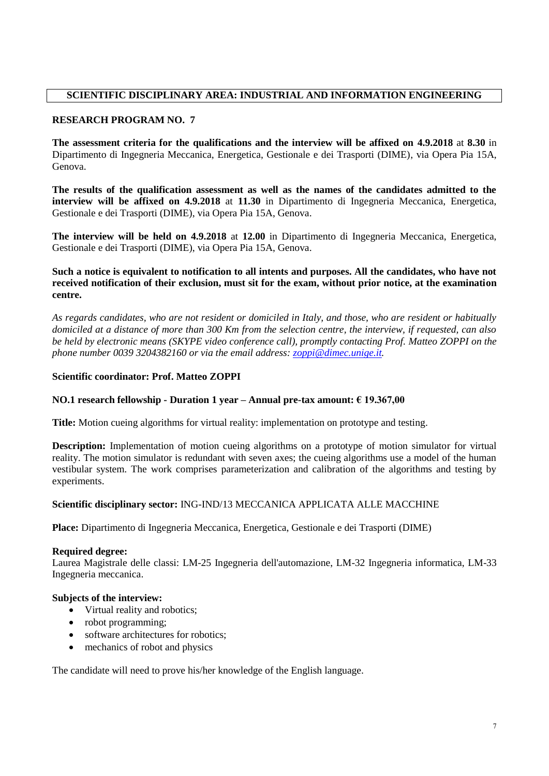# **SCIENTIFIC DISCIPLINARY AREA: INDUSTRIAL AND INFORMATION ENGINEERING**

# **RESEARCH PROGRAM NO. 7**

**The assessment criteria for the qualifications and the interview will be affixed on 4.9.2018** at **8.30** in Dipartimento di Ingegneria Meccanica, Energetica, Gestionale e dei Trasporti (DIME), via Opera Pia 15A, Genova.

**The results of the qualification assessment as well as the names of the candidates admitted to the interview will be affixed on 4.9.2018** at **11.30** in Dipartimento di Ingegneria Meccanica, Energetica, Gestionale e dei Trasporti (DIME), via Opera Pia 15A, Genova.

**The interview will be held on 4.9.2018** at **12.00** in Dipartimento di Ingegneria Meccanica, Energetica, Gestionale e dei Trasporti (DIME), via Opera Pia 15A, Genova.

# **Such a notice is equivalent to notification to all intents and purposes. All the candidates, who have not received notification of their exclusion, must sit for the exam, without prior notice, at the examination centre.**

*As regards candidates, who are not resident or domiciled in Italy, and those, who are resident or habitually domiciled at a distance of more than 300 Km from the selection centre, the interview, if requested, can also be held by electronic means (SKYPE video conference call), promptly contacting Prof. Matteo ZOPPI on the phone number 0039 3204382160 or via the email address: [zoppi@dimec.unige.it.](mailto:zoppi@dimec.unige.it)*

# **Scientific coordinator: Prof. Matteo ZOPPI**

## **NO.1 research fellowship - Duration 1 year – Annual pre-tax amount: € 19.367,00**

**Title:** Motion cueing algorithms for virtual reality: implementation on prototype and testing.

**Description:** Implementation of motion cueing algorithms on a prototype of motion simulator for virtual reality. The motion simulator is redundant with seven axes; the cueing algorithms use a model of the human vestibular system. The work comprises parameterization and calibration of the algorithms and testing by experiments.

## **Scientific disciplinary sector:** ING-IND/13 MECCANICA APPLICATA ALLE MACCHINE

**Place:** Dipartimento di Ingegneria Meccanica, Energetica, Gestionale e dei Trasporti (DIME)

## **Required degree:**

Laurea Magistrale delle classi: LM-25 Ingegneria dell'automazione, LM-32 Ingegneria informatica, LM-33 Ingegneria meccanica.

## **Subjects of the interview:**

- Virtual reality and robotics;
- robot programming;
- software architectures for robotics;
- mechanics of robot and physics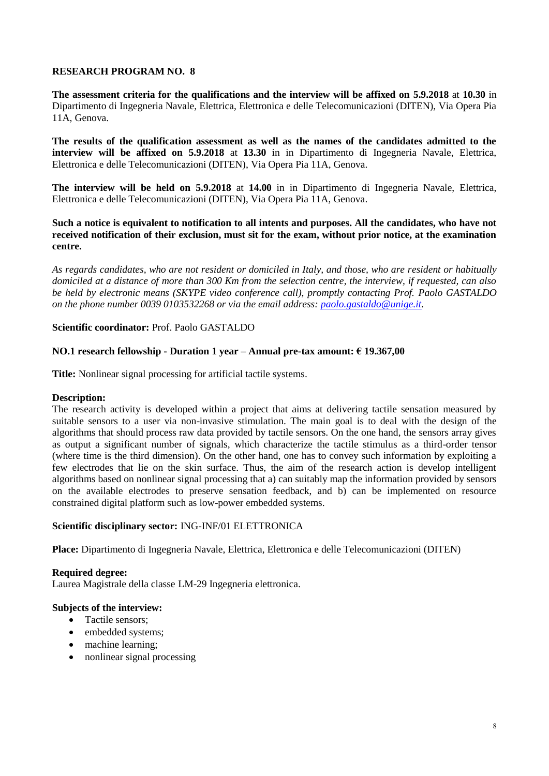**The assessment criteria for the qualifications and the interview will be affixed on 5.9.2018** at **10.30** in Dipartimento di Ingegneria Navale, Elettrica, Elettronica e delle Telecomunicazioni (DITEN), Via Opera Pia 11A, Genova.

**The results of the qualification assessment as well as the names of the candidates admitted to the interview will be affixed on 5.9.2018** at **13.30** in in Dipartimento di Ingegneria Navale, Elettrica, Elettronica e delle Telecomunicazioni (DITEN), Via Opera Pia 11A, Genova.

**The interview will be held on 5.9.2018** at **14.00** in in Dipartimento di Ingegneria Navale, Elettrica, Elettronica e delle Telecomunicazioni (DITEN), Via Opera Pia 11A, Genova.

**Such a notice is equivalent to notification to all intents and purposes. All the candidates, who have not received notification of their exclusion, must sit for the exam, without prior notice, at the examination centre.**

*As regards candidates, who are not resident or domiciled in Italy, and those, who are resident or habitually domiciled at a distance of more than 300 Km from the selection centre, the interview, if requested, can also be held by electronic means (SKYPE video conference call), promptly contacting Prof. Paolo GASTALDO on the phone number 0039 0103532268 or via the email address: [paolo.gastaldo@unige.it.](mailto:paolo.gastaldo@unige.it)*

## **Scientific coordinator:** Prof. Paolo GASTALDO

## **NO.1 research fellowship - Duration 1 year – Annual pre-tax amount: € 19.367,00**

**Title:** Nonlinear signal processing for artificial tactile systems.

### **Description:**

The research activity is developed within a project that aims at delivering tactile sensation measured by suitable sensors to a user via non-invasive stimulation. The main goal is to deal with the design of the algorithms that should process raw data provided by tactile sensors. On the one hand, the sensors array gives as output a significant number of signals, which characterize the tactile stimulus as a third-order tensor (where time is the third dimension). On the other hand, one has to convey such information by exploiting a few electrodes that lie on the skin surface. Thus, the aim of the research action is develop intelligent algorithms based on nonlinear signal processing that a) can suitably map the information provided by sensors on the available electrodes to preserve sensation feedback, and b) can be implemented on resource constrained digital platform such as low-power embedded systems.

## **Scientific disciplinary sector:** ING-INF/01 ELETTRONICA

**Place:** Dipartimento di Ingegneria Navale, Elettrica, Elettronica e delle Telecomunicazioni (DITEN)

### **Required degree:**

Laurea Magistrale della classe LM-29 Ingegneria elettronica.

- Tactile sensors;
- embedded systems;
- machine learning;
- nonlinear signal processing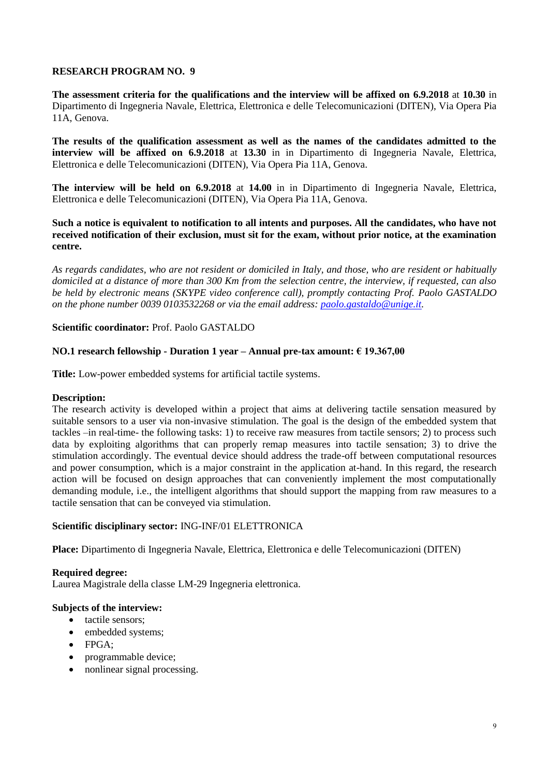**The assessment criteria for the qualifications and the interview will be affixed on 6.9.2018** at **10.30** in Dipartimento di Ingegneria Navale, Elettrica, Elettronica e delle Telecomunicazioni (DITEN), Via Opera Pia 11A, Genova.

**The results of the qualification assessment as well as the names of the candidates admitted to the interview will be affixed on 6.9.2018** at **13.30** in in Dipartimento di Ingegneria Navale, Elettrica, Elettronica e delle Telecomunicazioni (DITEN), Via Opera Pia 11A, Genova.

**The interview will be held on 6.9.2018** at **14.00** in in Dipartimento di Ingegneria Navale, Elettrica, Elettronica e delle Telecomunicazioni (DITEN), Via Opera Pia 11A, Genova.

**Such a notice is equivalent to notification to all intents and purposes. All the candidates, who have not received notification of their exclusion, must sit for the exam, without prior notice, at the examination centre.**

*As regards candidates, who are not resident or domiciled in Italy, and those, who are resident or habitually domiciled at a distance of more than 300 Km from the selection centre, the interview, if requested, can also be held by electronic means (SKYPE video conference call), promptly contacting Prof. Paolo GASTALDO on the phone number 0039 0103532268 or via the email address: [paolo.gastaldo@unige.it.](mailto:paolo.gastaldo@unige.it)*

# **Scientific coordinator:** Prof. Paolo GASTALDO

# **NO.1 research fellowship - Duration 1 year – Annual pre-tax amount: € 19.367,00**

**Title:** Low-power embedded systems for artificial tactile systems.

## **Description:**

The research activity is developed within a project that aims at delivering tactile sensation measured by suitable sensors to a user via non-invasive stimulation. The goal is the design of the embedded system that tackles –in real-time- the following tasks: 1) to receive raw measures from tactile sensors; 2) to process such data by exploiting algorithms that can properly remap measures into tactile sensation; 3) to drive the stimulation accordingly. The eventual device should address the trade-off between computational resources and power consumption, which is a major constraint in the application at-hand. In this regard, the research action will be focused on design approaches that can conveniently implement the most computationally demanding module, i.e., the intelligent algorithms that should support the mapping from raw measures to a tactile sensation that can be conveyed via stimulation.

## **Scientific disciplinary sector:** ING-INF/01 ELETTRONICA

**Place:** Dipartimento di Ingegneria Navale, Elettrica, Elettronica e delle Telecomunicazioni (DITEN)

## **Required degree:**

Laurea Magistrale della classe LM-29 Ingegneria elettronica.

- tactile sensors;
- embedded systems;
- FPGA:
- programmable device;
- nonlinear signal processing.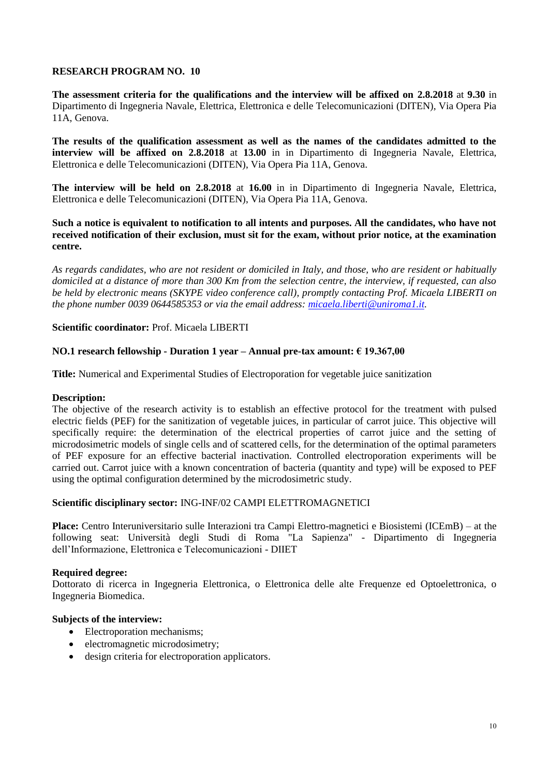**The assessment criteria for the qualifications and the interview will be affixed on 2.8.2018** at **9.30** in Dipartimento di Ingegneria Navale, Elettrica, Elettronica e delle Telecomunicazioni (DITEN), Via Opera Pia 11A, Genova.

**The results of the qualification assessment as well as the names of the candidates admitted to the interview will be affixed on 2.8.2018** at **13.00** in in Dipartimento di Ingegneria Navale, Elettrica, Elettronica e delle Telecomunicazioni (DITEN), Via Opera Pia 11A, Genova.

**The interview will be held on 2.8.2018** at **16.00** in in Dipartimento di Ingegneria Navale, Elettrica, Elettronica e delle Telecomunicazioni (DITEN), Via Opera Pia 11A, Genova.

**Such a notice is equivalent to notification to all intents and purposes. All the candidates, who have not received notification of their exclusion, must sit for the exam, without prior notice, at the examination centre.**

*As regards candidates, who are not resident or domiciled in Italy, and those, who are resident or habitually domiciled at a distance of more than 300 Km from the selection centre, the interview, if requested, can also be held by electronic means (SKYPE video conference call), promptly contacting Prof. Micaela LIBERTI on the phone number 0039 0644585353 or via the email address: [micaela.liberti@uniroma1.it.](mailto:micaela.liberti@uniroma1.it)* 

**Scientific coordinator:** Prof. Micaela LIBERTI

## **NO.1 research fellowship - Duration 1 year – Annual pre-tax amount: € 19.367,00**

**Title:** Numerical and Experimental Studies of Electroporation for vegetable juice sanitization

## **Description:**

The objective of the research activity is to establish an effective protocol for the treatment with pulsed electric fields (PEF) for the sanitization of vegetable juices, in particular of carrot juice. This objective will specifically require: the determination of the electrical properties of carrot juice and the setting of microdosimetric models of single cells and of scattered cells, for the determination of the optimal parameters of PEF exposure for an effective bacterial inactivation. Controlled electroporation experiments will be carried out. Carrot juice with a known concentration of bacteria (quantity and type) will be exposed to PEF using the optimal configuration determined by the microdosimetric study.

## **Scientific disciplinary sector:** ING-INF/02 CAMPI ELETTROMAGNETICI

**Place:** Centro Interuniversitario sulle Interazioni tra Campi Elettro-magnetici e Biosistemi (ICEmB) – at the following seat: Università degli Studi di Roma "La Sapienza" - Dipartimento di Ingegneria dell'Informazione, Elettronica e Telecomunicazioni - DIIET

## **Required degree:**

Dottorato di ricerca in Ingegneria Elettronica, o Elettronica delle alte Frequenze ed Optoelettronica, o Ingegneria Biomedica.

- Electroporation mechanisms;
- electromagnetic microdosimetry;
- design criteria for electroporation applicators.